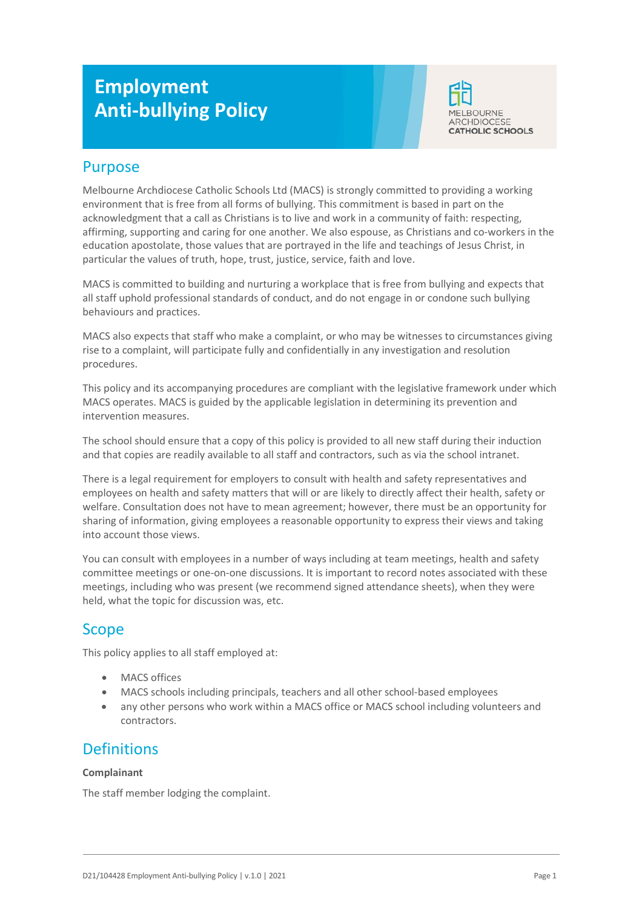# **Employment Anti-bullying Policy**



## Purpose

Melbourne Archdiocese Catholic Schools Ltd (MACS) is strongly committed to providing a working environment that is free from all forms of bullying. This commitment is based in part on the acknowledgment that a call as Christians is to live and work in a community of faith: respecting, affirming, supporting and caring for one another. We also espouse, as Christians and co-workers in the education apostolate, those values that are portrayed in the life and teachings of Jesus Christ, in particular the values of truth, hope, trust, justice, service, faith and love.

MACS is committed to building and nurturing a workplace that is free from bullying and expects that all staff uphold professional standards of conduct, and do not engage in or condone such bullying behaviours and practices.

MACS also expects that staff who make a complaint, or who may be witnesses to circumstances giving rise to a complaint, will participate fully and confidentially in any investigation and resolution procedures.

This policy and its accompanying procedures are compliant with the legislative framework under which MACS operates. MACS is guided by the applicable legislation in determining its prevention and intervention measures.

The school should ensure that a copy of this policy is provided to all new staff during their induction and that copies are readily available to all staff and contractors, such as via the school intranet.

There is a legal requirement for employers to consult with health and safety representatives and employees on health and safety matters that will or are likely to directly affect their health, safety or welfare. Consultation does not have to mean agreement; however, there must be an opportunity for sharing of information, giving employees a reasonable opportunity to express their views and taking into account those views.

You can consult with employees in a number of ways including at team meetings, health and safety committee meetings or one-on-one discussions. It is important to record notes associated with these meetings, including who was present (we recommend signed attendance sheets), when they were held, what the topic for discussion was, etc.

# Scope

This policy applies to all staff employed at:

- MACS offices
- MACS schools including principals, teachers and all other school-based employees
- any other persons who work within a MACS office or MACS school including volunteers and contractors.

# **Definitions**

#### **Complainant**

The staff member lodging the complaint.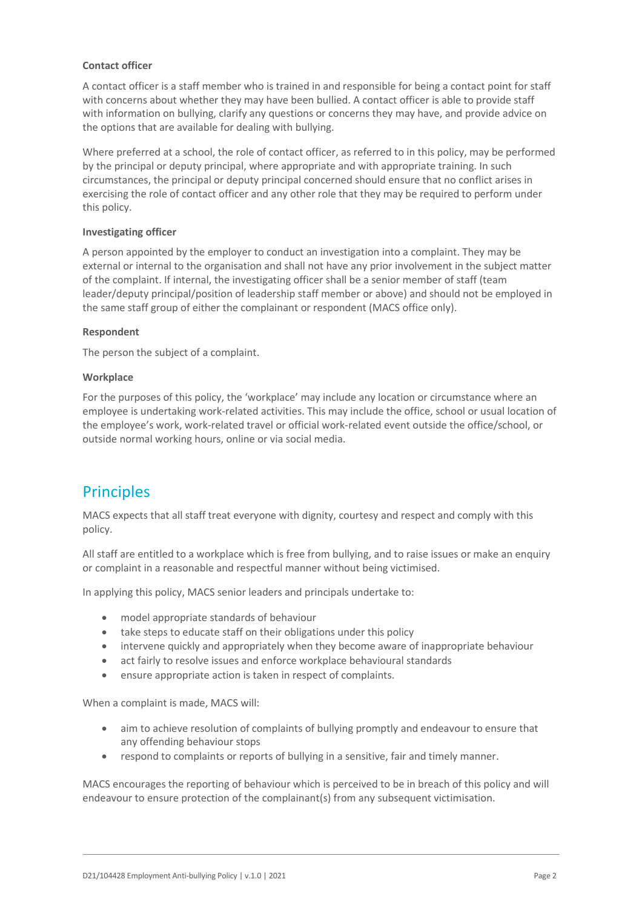#### **Contact officer**

A contact officer is a staff member who is trained in and responsible for being a contact point for staff with concerns about whether they may have been bullied. A contact officer is able to provide staff with information on bullying, clarify any questions or concerns they may have, and provide advice on the options that are available for dealing with bullying.

Where preferred at a school, the role of contact officer, as referred to in this policy, may be performed by the principal or deputy principal, where appropriate and with appropriate training. In such circumstances, the principal or deputy principal concerned should ensure that no conflict arises in exercising the role of contact officer and any other role that they may be required to perform under this policy.

#### **Investigating officer**

A person appointed by the employer to conduct an investigation into a complaint. They may be external or internal to the organisation and shall not have any prior involvement in the subject matter of the complaint. If internal, the investigating officer shall be a senior member of staff (team leader/deputy principal/position of leadership staff member or above) and should not be employed in the same staff group of either the complainant or respondent (MACS office only).

#### **Respondent**

The person the subject of a complaint.

#### **Workplace**

For the purposes of this policy, the 'workplace' may include any location or circumstance where an employee is undertaking work-related activities. This may include the office, school or usual location of the employee's work, work-related travel or official work-related event outside the office/school, or outside normal working hours, online or via social media.

# **Principles**

MACS expects that all staff treat everyone with dignity, courtesy and respect and comply with this policy.

All staff are entitled to a workplace which is free from bullying, and to raise issues or make an enquiry or complaint in a reasonable and respectful manner without being victimised.

In applying this policy, MACS senior leaders and principals undertake to:

- model appropriate standards of behaviour
- take steps to educate staff on their obligations under this policy
- intervene quickly and appropriately when they become aware of inappropriate behaviour
- act fairly to resolve issues and enforce workplace behavioural standards
- ensure appropriate action is taken in respect of complaints.

When a complaint is made, MACS will:

- aim to achieve resolution of complaints of bullying promptly and endeavour to ensure that any offending behaviour stops
- respond to complaints or reports of bullying in a sensitive, fair and timely manner.

MACS encourages the reporting of behaviour which is perceived to be in breach of this policy and will endeavour to ensure protection of the complainant(s) from any subsequent victimisation.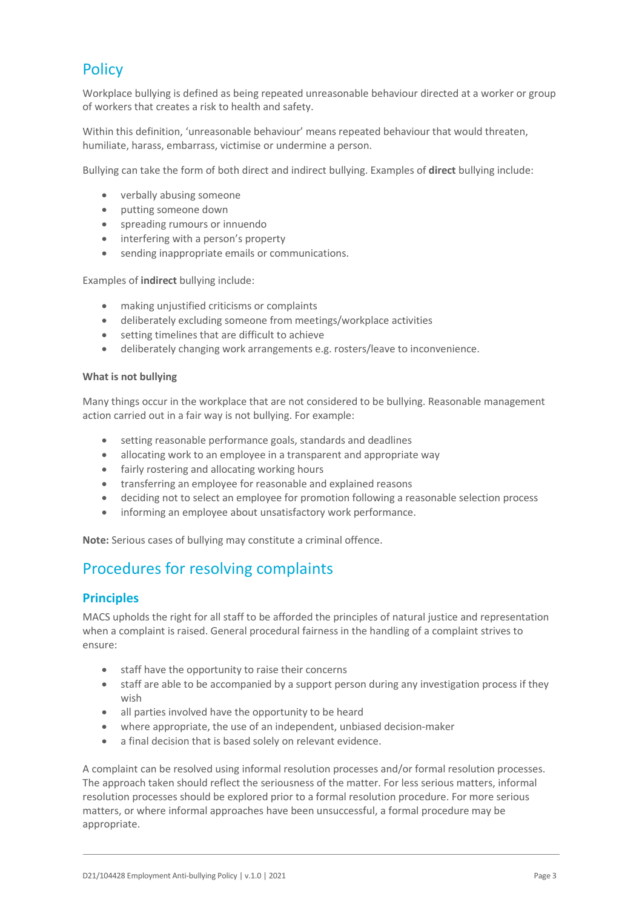# **Policy**

Workplace bullying is defined as being repeated unreasonable behaviour directed at a worker or group of workers that creates a risk to health and safety.

Within this definition, 'unreasonable behaviour' means repeated behaviour that would threaten, humiliate, harass, embarrass, victimise or undermine a person.

Bullying can take the form of both direct and indirect bullying. Examples of **direct** bullying include:

- verbally abusing someone
- putting someone down
- spreading rumours or innuendo
- interfering with a person's property
- sending inappropriate emails or communications.

Examples of **indirect** bullying include:

- making unjustified criticisms or complaints
- deliberately excluding someone from meetings/workplace activities
- setting timelines that are difficult to achieve
- deliberately changing work arrangements e.g. rosters/leave to inconvenience.

#### **What is not bullying**

Many things occur in the workplace that are not considered to be bullying. Reasonable management action carried out in a fair way is not bullying. For example:

- setting reasonable performance goals, standards and deadlines
- allocating work to an employee in a transparent and appropriate way
- fairly rostering and allocating working hours
- transferring an employee for reasonable and explained reasons
- deciding not to select an employee for promotion following a reasonable selection process
- informing an employee about unsatisfactory work performance.

**Note:** Serious cases of bullying may constitute a criminal offence.

# Procedures for resolving complaints

### **Principles**

MACS upholds the right for all staff to be afforded the principles of natural justice and representation when a complaint is raised. General procedural fairness in the handling of a complaint strives to ensure:

- staff have the opportunity to raise their concerns
- staff are able to be accompanied by a support person during any investigation process if they wish
- all parties involved have the opportunity to be heard
- where appropriate, the use of an independent, unbiased decision-maker
- a final decision that is based solely on relevant evidence.

A complaint can be resolved using informal resolution processes and/or formal resolution processes. The approach taken should reflect the seriousness of the matter. For less serious matters, informal resolution processes should be explored prior to a formal resolution procedure. For more serious matters, or where informal approaches have been unsuccessful, a formal procedure may be appropriate.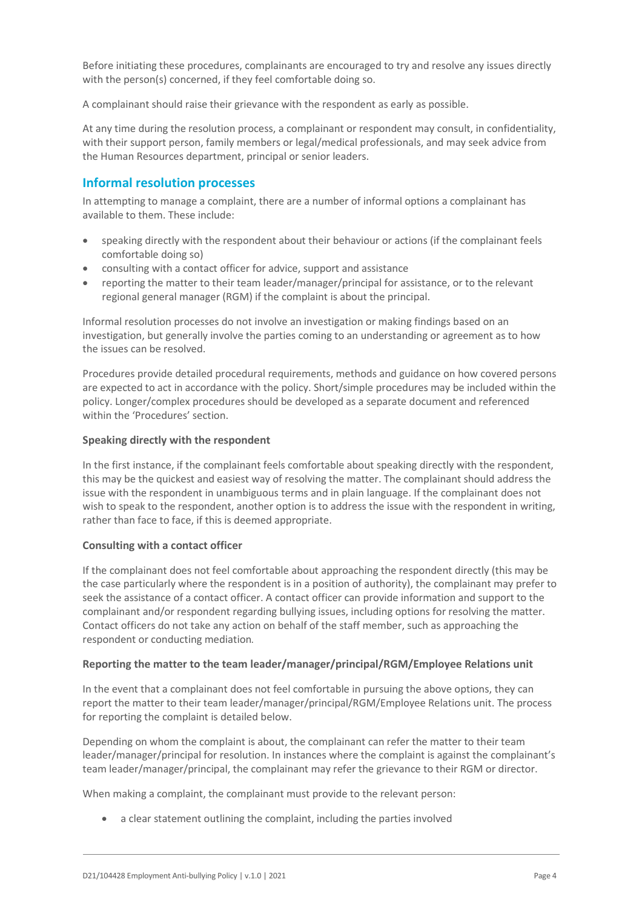Before initiating these procedures, complainants are encouraged to try and resolve any issues directly with the person(s) concerned, if they feel comfortable doing so.

A complainant should raise their grievance with the respondent as early as possible.

At any time during the resolution process, a complainant or respondent may consult, in confidentiality, with their support person, family members or legal/medical professionals, and may seek advice from the Human Resources department, principal or senior leaders.

### **Informal resolution processes**

In attempting to manage a complaint, there are a number of informal options a complainant has available to them. These include:

- speaking directly with the respondent about their behaviour or actions (if the complainant feels comfortable doing so)
- consulting with a contact officer for advice, support and assistance
- reporting the matter to their team leader/manager/principal for assistance, or to the relevant regional general manager (RGM) if the complaint is about the principal.

Informal resolution processes do not involve an investigation or making findings based on an investigation, but generally involve the parties coming to an understanding or agreement as to how the issues can be resolved.

Procedures provide detailed procedural requirements, methods and guidance on how covered persons are expected to act in accordance with the policy. Short/simple procedures may be included within the policy. Longer/complex procedures should be developed as a separate document and referenced within the 'Procedures' section.

#### **Speaking directly with the respondent**

In the first instance, if the complainant feels comfortable about speaking directly with the respondent, this may be the quickest and easiest way of resolving the matter. The complainant should address the issue with the respondent in unambiguous terms and in plain language. If the complainant does not wish to speak to the respondent, another option is to address the issue with the respondent in writing, rather than face to face, if this is deemed appropriate.

#### **Consulting with a contact officer**

If the complainant does not feel comfortable about approaching the respondent directly (this may be the case particularly where the respondent is in a position of authority), the complainant may prefer to seek the assistance of a contact officer. A contact officer can provide information and support to the complainant and/or respondent regarding bullying issues, including options for resolving the matter. Contact officers do not take any action on behalf of the staff member, such as approaching the respondent or conducting mediation.

#### **Reporting the matter to the team leader/manager/principal/RGM/Employee Relations unit**

In the event that a complainant does not feel comfortable in pursuing the above options, they can report the matter to their team leader/manager/principal/RGM/Employee Relations unit. The process for reporting the complaint is detailed below.

Depending on whom the complaint is about, the complainant can refer the matter to their team leader/manager/principal for resolution. In instances where the complaint is against the complainant's team leader/manager/principal, the complainant may refer the grievance to their RGM or director.

When making a complaint, the complainant must provide to the relevant person:

• a clear statement outlining the complaint, including the parties involved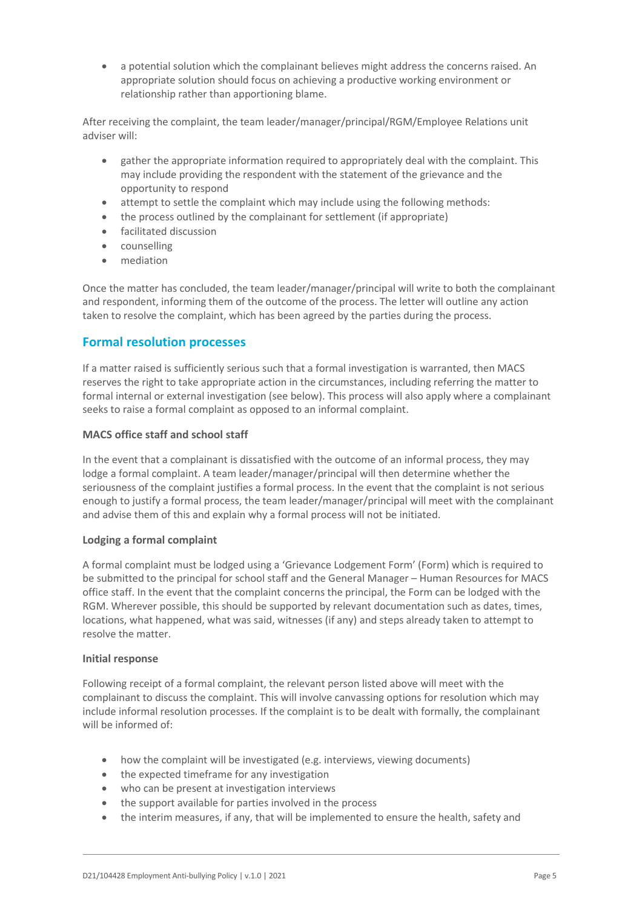• a potential solution which the complainant believes might address the concerns raised. An appropriate solution should focus on achieving a productive working environment or relationship rather than apportioning blame.

After receiving the complaint, the team leader/manager/principal/RGM/Employee Relations unit adviser will:

- gather the appropriate information required to appropriately deal with the complaint. This may include providing the respondent with the statement of the grievance and the opportunity to respond
- attempt to settle the complaint which may include using the following methods:
- the process outlined by the complainant for settlement (if appropriate)
- facilitated discussion
- counselling
- mediation

Once the matter has concluded, the team leader/manager/principal will write to both the complainant and respondent, informing them of the outcome of the process. The letter will outline any action taken to resolve the complaint, which has been agreed by the parties during the process.

### **Formal resolution processes**

If a matter raised is sufficiently serious such that a formal investigation is warranted, then MACS reserves the right to take appropriate action in the circumstances, including referring the matter to formal internal or external investigation (see below). This process will also apply where a complainant seeks to raise a formal complaint as opposed to an informal complaint.

#### **MACS office staff and school staff**

In the event that a complainant is dissatisfied with the outcome of an informal process, they may lodge a formal complaint. A team leader/manager/principal will then determine whether the seriousness of the complaint justifies a formal process. In the event that the complaint is not serious enough to justify a formal process, the team leader/manager/principal will meet with the complainant and advise them of this and explain why a formal process will not be initiated.

#### **Lodging a formal complaint**

A formal complaint must be lodged using a 'Grievance Lodgement Form' (Form) which is required to be submitted to the principal for school staff and the General Manager – Human Resources for MACS office staff. In the event that the complaint concerns the principal, the Form can be lodged with the RGM. Wherever possible, this should be supported by relevant documentation such as dates, times, locations, what happened, what was said, witnesses (if any) and steps already taken to attempt to resolve the matter.

#### **Initial response**

Following receipt of a formal complaint, the relevant person listed above will meet with the complainant to discuss the complaint. This will involve canvassing options for resolution which may include informal resolution processes. If the complaint is to be dealt with formally, the complainant will be informed of:

- how the complaint will be investigated (e.g. interviews, viewing documents)
- the expected timeframe for any investigation
- who can be present at investigation interviews
- the support available for parties involved in the process
- the interim measures, if any, that will be implemented to ensure the health, safety and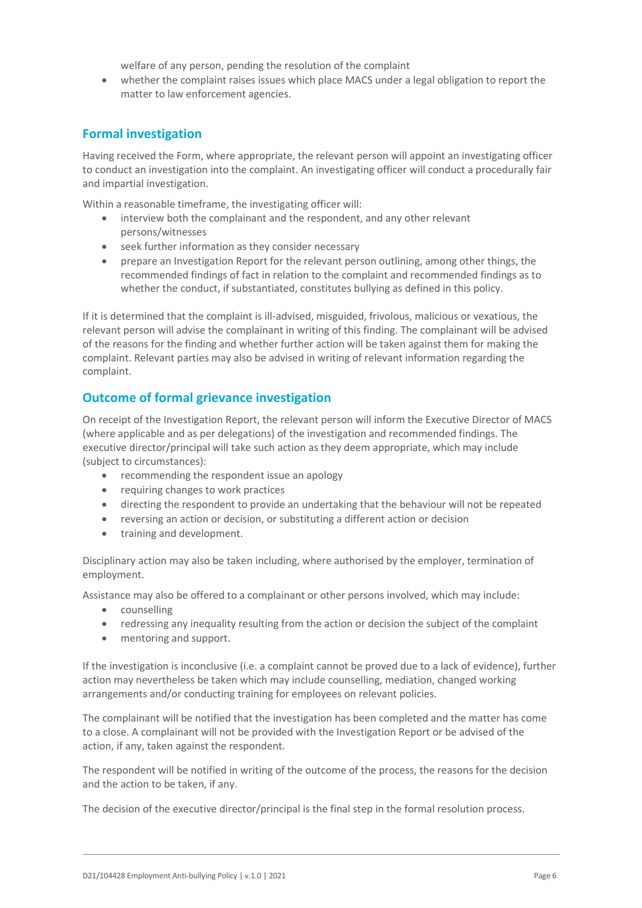welfare of any person, pending the resolution of the complaint

• whether the complaint raises issues which place MACS under a legal obligation to report the matter to law enforcement agencies.

### **Formal investigation**

Having received the Form, where appropriate, the relevant person will appoint an investigating officer to conduct an investigation into the complaint. An investigating officer will conduct a procedurally fair and impartial investigation.

Within a reasonable timeframe, the investigating officer will:

- interview both the complainant and the respondent, and any other relevant persons/witnesses
- seek further information as they consider necessary
- prepare an Investigation Report for the relevant person outlining, among other things, the recommended findings of fact in relation to the complaint and recommended findings as to whether the conduct, if substantiated, constitutes bullying as defined in this policy.

If it is determined that the complaint is ill-advised, misguided, frivolous, malicious or vexatious, the relevant person will advise the complainant in writing of this finding. The complainant will be advised of the reasons for the finding and whether further action will be taken against them for making the complaint. Relevant parties may also be advised in writing of relevant information regarding the complaint.

### **Outcome of formal grievance investigation**

On receipt of the Investigation Report, the relevant person will inform the Executive Director of MACS (where applicable and as per delegations) of the investigation and recommended findings. The executive director/principal will take such action as they deem appropriate, which may include (subject to circumstances):

- recommending the respondent issue an apology
- requiring changes to work practices
- directing the respondent to provide an undertaking that the behaviour will not be repeated
- reversing an action or decision, or substituting a different action or decision
- training and development.

Disciplinary action may also be taken including, where authorised by the employer, termination of employment.

Assistance may also be offered to a complainant or other persons involved, which may include:

- counselling
- redressing any inequality resulting from the action or decision the subject of the complaint
- mentoring and support.

If the investigation is inconclusive (i.e. a complaint cannot be proved due to a lack of evidence), further action may nevertheless be taken which may include counselling, mediation, changed working arrangements and/or conducting training for employees on relevant policies.

The complainant will be notified that the investigation has been completed and the matter has come to a close. A complainant will not be provided with the Investigation Report or be advised of the action, if any, taken against the respondent.

The respondent will be notified in writing of the outcome of the process, the reasons for the decision and the action to be taken, if any.

The decision of the executive director/principal is the final step in the formal resolution process.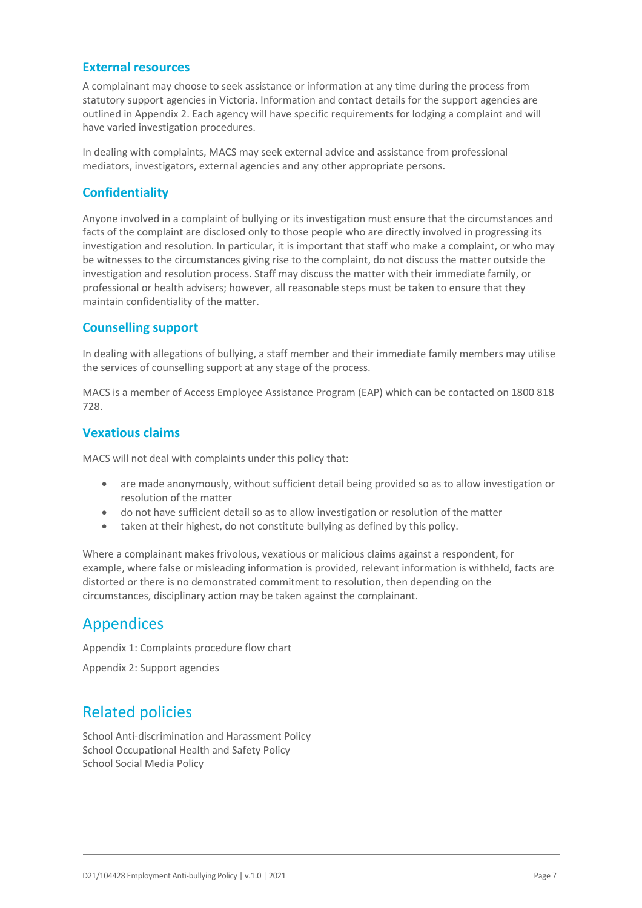### **External resources**

A complainant may choose to seek assistance or information at any time during the process from statutory support agencies in Victoria. Information and contact details for the support agencies are outlined in Appendix 2. Each agency will have specific requirements for lodging a complaint and will have varied investigation procedures.

In dealing with complaints, MACS may seek external advice and assistance from professional mediators, investigators, external agencies and any other appropriate persons.

### **Confidentiality**

Anyone involved in a complaint of bullying or its investigation must ensure that the circumstances and facts of the complaint are disclosed only to those people who are directly involved in progressing its investigation and resolution. In particular, it is important that staff who make a complaint, or who may be witnesses to the circumstances giving rise to the complaint, do not discuss the matter outside the investigation and resolution process. Staff may discuss the matter with their immediate family, or professional or health advisers; however, all reasonable steps must be taken to ensure that they maintain confidentiality of the matter.

### **Counselling support**

In dealing with allegations of bullying, a staff member and their immediate family members may utilise the services of counselling support at any stage of the process.

MACS is a member of Access Employee Assistance Program (EAP) which can be contacted on 1800 818 728.

### **Vexatious claims**

MACS will not deal with complaints under this policy that:

- are made anonymously, without sufficient detail being provided so as to allow investigation or resolution of the matter
- do not have sufficient detail so as to allow investigation or resolution of the matter
- taken at their highest, do not constitute bullying as defined by this policy.

Where a complainant makes frivolous, vexatious or malicious claims against a respondent, for example, where false or misleading information is provided, relevant information is withheld, facts are distorted or there is no demonstrated commitment to resolution, then depending on the circumstances, disciplinary action may be taken against the complainant.

## Appendices

Appendix 1: Complaints procedure flow chart

Appendix 2: Support agencies

# Related policies

School Anti-discrimination and Harassment Policy School Occupational Health and Safety Policy School Social Media Policy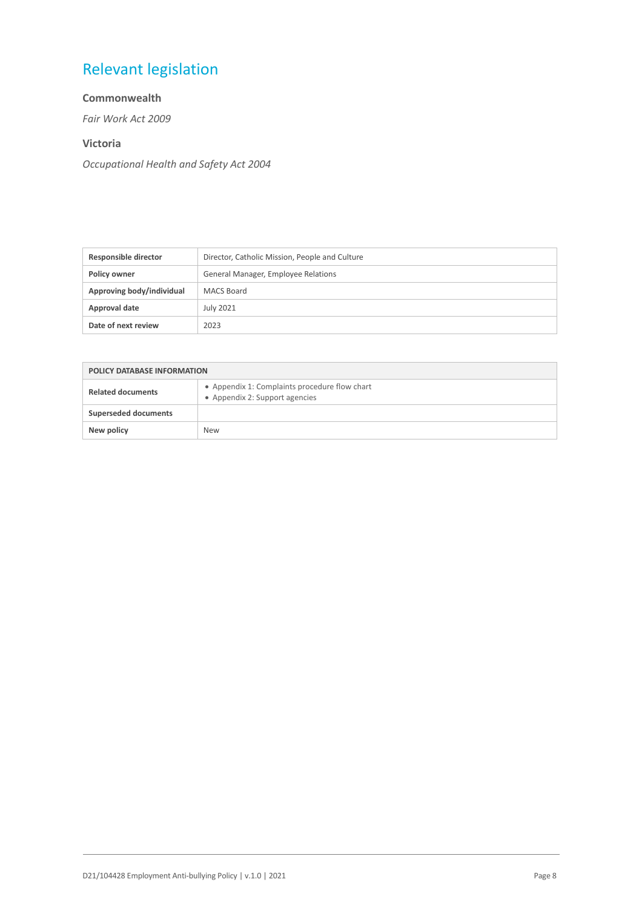# Relevant legislation

#### **Commonwealth**

*Fair Work Act 2009*

#### **Victoria**

*Occupational Health and Safety Act 2004*

| Responsible director      | Director, Catholic Mission, People and Culture |
|---------------------------|------------------------------------------------|
| Policy owner              | General Manager, Employee Relations            |
| Approving body/individual | MACS Board                                     |
| Approval date             | July 2021                                      |
| Date of next review       | 2023                                           |

| <b>POLICY DATABASE INFORMATION</b> |                                                                                 |
|------------------------------------|---------------------------------------------------------------------------------|
| <b>Related documents</b>           | • Appendix 1: Complaints procedure flow chart<br>• Appendix 2: Support agencies |
| <b>Superseded documents</b>        |                                                                                 |
| New policy                         | <b>New</b>                                                                      |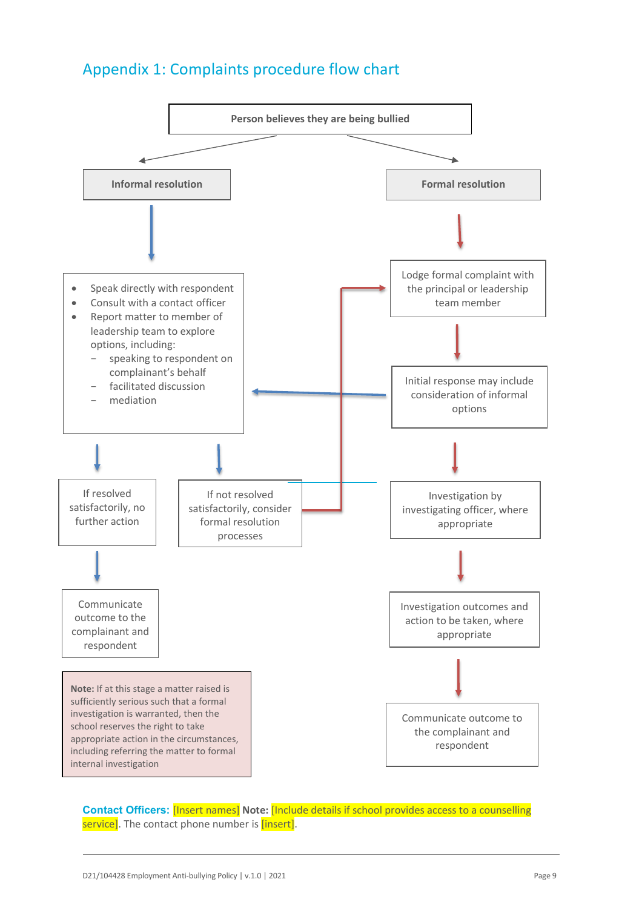# Appendix 1: Complaints procedure flow chart



**Contact Officers:** [Insert names] **Note:** [Include details if school provides access to a counselling service]. The contact phone number is [insert].